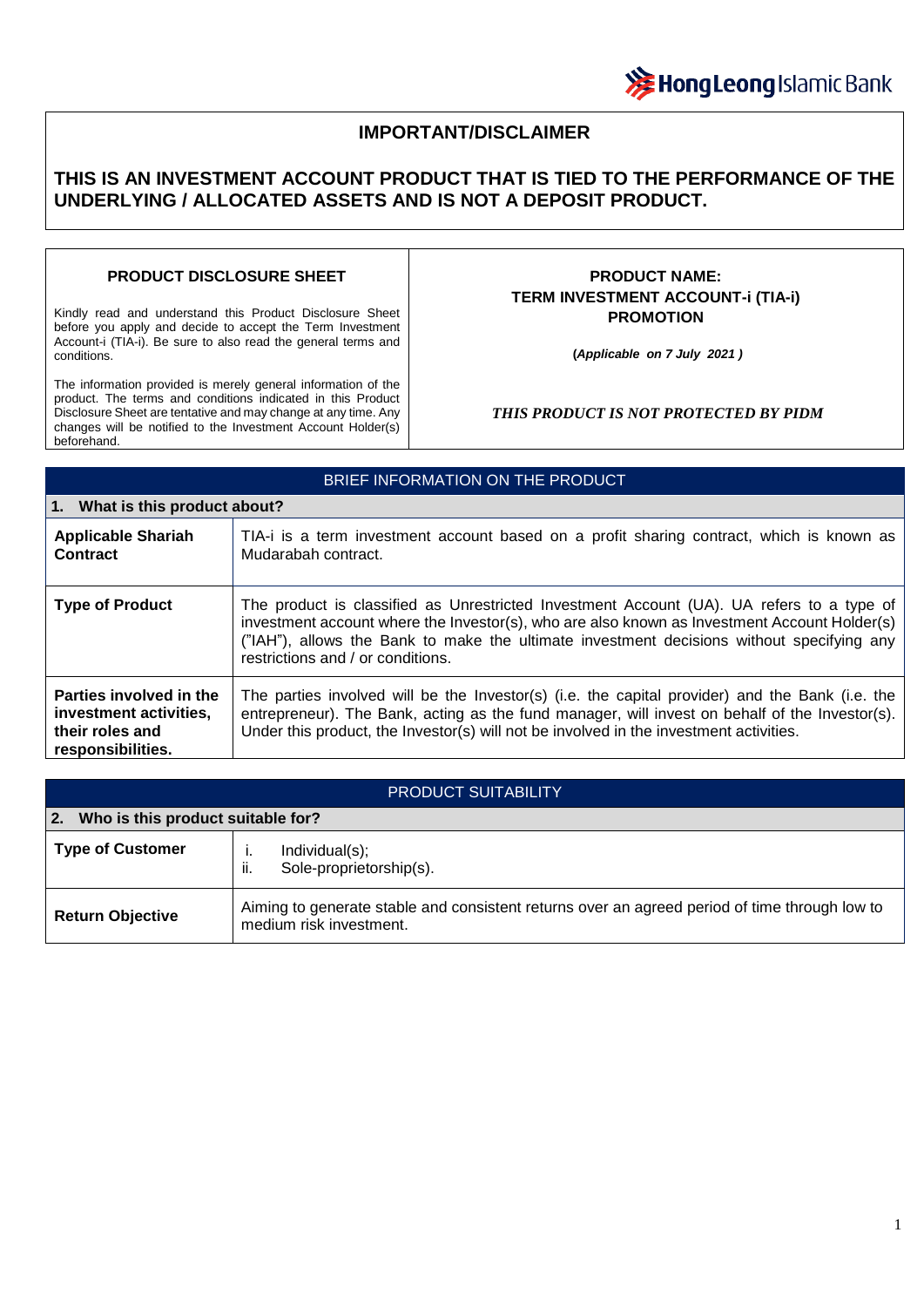

# **IMPORTANT/DISCLAIMER**

# **THIS IS AN INVESTMENT ACCOUNT PRODUCT THAT IS TIED TO THE PERFORMANCE OF THE UNDERLYING / ALLOCATED ASSETS AND IS NOT A DEPOSIT PRODUCT.**

### **PRODUCT DISCLOSURE SHEET**

Kindly read and understand this Product Disclosure Sheet before you apply and decide to accept the Term Investment Account-i (TIA-i). Be sure to also read the general terms and conditions.

The information provided is merely general information of the product. The terms and conditions indicated in this Product Disclosure Sheet are tentative and may change at any time. Any changes will be notified to the Investment Account Holder(s) beforehand.

## **PRODUCT NAME: TERM INVESTMENT ACCOUNT-i (TIA-i) PROMOTION**

**(***Applicable on 7 July 2021 )*

#### *THIS PRODUCT IS NOT PROTECTED BY PIDM*

| BRIEF INFORMATION ON THE PRODUCT                                                          |                                                                                                                                                                                                                                                                                                                             |  |
|-------------------------------------------------------------------------------------------|-----------------------------------------------------------------------------------------------------------------------------------------------------------------------------------------------------------------------------------------------------------------------------------------------------------------------------|--|
| 1. What is this product about?                                                            |                                                                                                                                                                                                                                                                                                                             |  |
| <b>Applicable Shariah</b><br><b>Contract</b>                                              | TIA-i is a term investment account based on a profit sharing contract, which is known as<br>Mudarabah contract.                                                                                                                                                                                                             |  |
| <b>Type of Product</b>                                                                    | The product is classified as Unrestricted Investment Account (UA). UA refers to a type of<br>investment account where the Investor(s), who are also known as Investment Account Holder(s)<br>("IAH"), allows the Bank to make the ultimate investment decisions without specifying any<br>restrictions and / or conditions. |  |
| Parties involved in the<br>investment activities,<br>their roles and<br>responsibilities. | The parties involved will be the Investor(s) (i.e. the capital provider) and the Bank (i.e. the<br>entrepreneur). The Bank, acting as the fund manager, will invest on behalf of the Investor(s).<br>Under this product, the Investor(s) will not be involved in the investment activities.                                 |  |

| <b>PRODUCT SUITABILITY</b>              |                                                                                                                          |  |
|-----------------------------------------|--------------------------------------------------------------------------------------------------------------------------|--|
| Who is this product suitable for?<br>2. |                                                                                                                          |  |
| <b>Type of Customer</b>                 | Individual(s);<br>Sole-proprietorship(s).<br>ii.                                                                         |  |
| <b>Return Objective</b>                 | Aiming to generate stable and consistent returns over an agreed period of time through low to<br>medium risk investment. |  |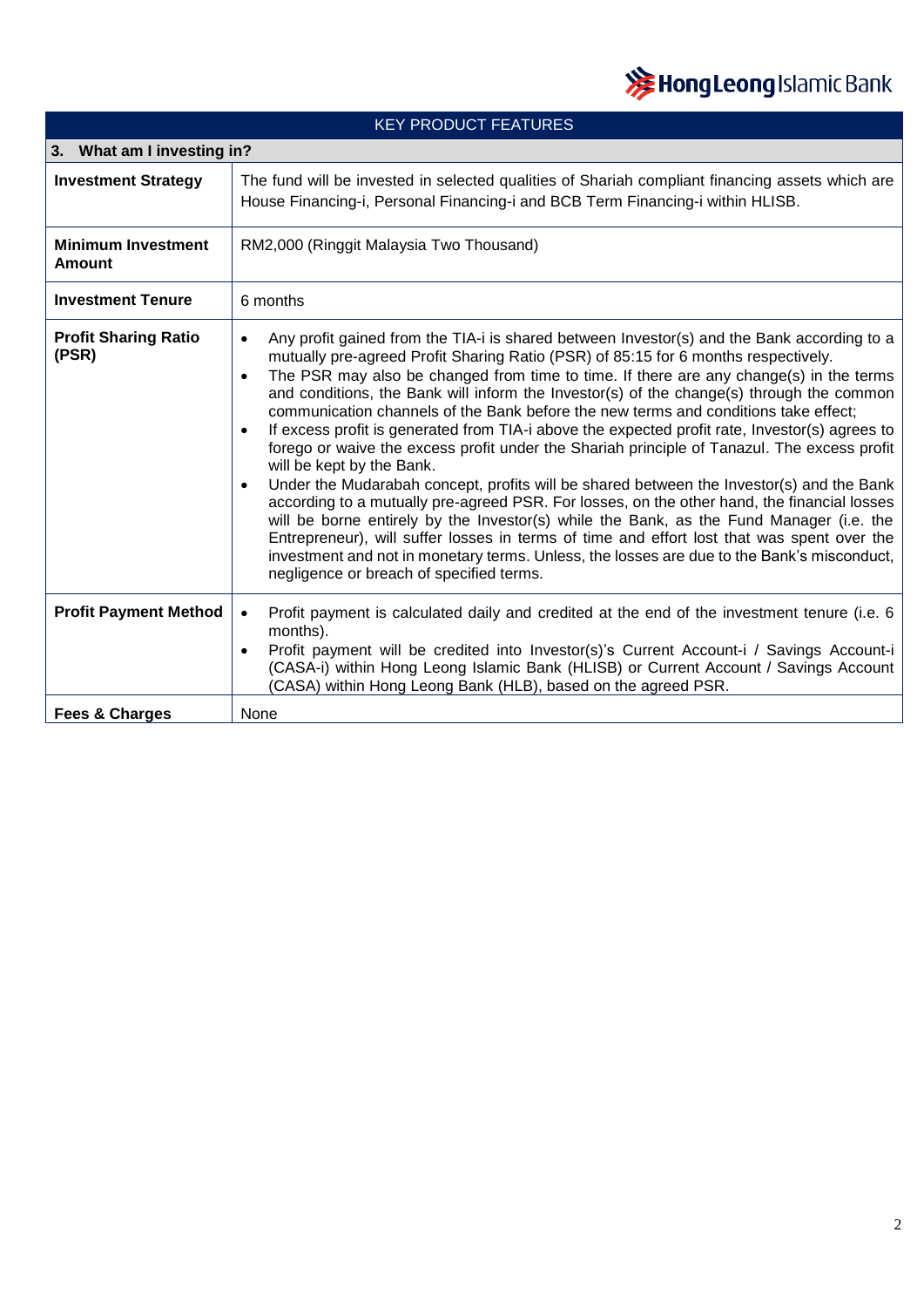

| <b>KEY PRODUCT FEATURES</b>          |                                                                                                                                                                                                                                                                                                                                                                                                                                                                                                                                                                                                                                                                                                                                                                                                                                                                                                                                                                                                                                                                                                                                                                                                                                                                               |  |
|--------------------------------------|-------------------------------------------------------------------------------------------------------------------------------------------------------------------------------------------------------------------------------------------------------------------------------------------------------------------------------------------------------------------------------------------------------------------------------------------------------------------------------------------------------------------------------------------------------------------------------------------------------------------------------------------------------------------------------------------------------------------------------------------------------------------------------------------------------------------------------------------------------------------------------------------------------------------------------------------------------------------------------------------------------------------------------------------------------------------------------------------------------------------------------------------------------------------------------------------------------------------------------------------------------------------------------|--|
| 3. What am I investing in?           |                                                                                                                                                                                                                                                                                                                                                                                                                                                                                                                                                                                                                                                                                                                                                                                                                                                                                                                                                                                                                                                                                                                                                                                                                                                                               |  |
| <b>Investment Strategy</b>           | The fund will be invested in selected qualities of Shariah compliant financing assets which are<br>House Financing-i, Personal Financing-i and BCB Term Financing-i within HLISB.                                                                                                                                                                                                                                                                                                                                                                                                                                                                                                                                                                                                                                                                                                                                                                                                                                                                                                                                                                                                                                                                                             |  |
| <b>Minimum Investment</b><br>Amount  | RM2,000 (Ringgit Malaysia Two Thousand)                                                                                                                                                                                                                                                                                                                                                                                                                                                                                                                                                                                                                                                                                                                                                                                                                                                                                                                                                                                                                                                                                                                                                                                                                                       |  |
| <b>Investment Tenure</b>             | 6 months                                                                                                                                                                                                                                                                                                                                                                                                                                                                                                                                                                                                                                                                                                                                                                                                                                                                                                                                                                                                                                                                                                                                                                                                                                                                      |  |
| <b>Profit Sharing Ratio</b><br>(PSR) | Any profit gained from the TIA-i is shared between Investor(s) and the Bank according to a<br>$\bullet$<br>mutually pre-agreed Profit Sharing Ratio (PSR) of 85:15 for 6 months respectively.<br>The PSR may also be changed from time to time. If there are any change(s) in the terms<br>$\bullet$<br>and conditions, the Bank will inform the Investor(s) of the change(s) through the common<br>communication channels of the Bank before the new terms and conditions take effect;<br>If excess profit is generated from TIA-i above the expected profit rate, Investor(s) agrees to<br>$\bullet$<br>forego or waive the excess profit under the Shariah principle of Tanazul. The excess profit<br>will be kept by the Bank.<br>Under the Mudarabah concept, profits will be shared between the Investor(s) and the Bank<br>$\bullet$<br>according to a mutually pre-agreed PSR. For losses, on the other hand, the financial losses<br>will be borne entirely by the Investor(s) while the Bank, as the Fund Manager (i.e. the<br>Entrepreneur), will suffer losses in terms of time and effort lost that was spent over the<br>investment and not in monetary terms. Unless, the losses are due to the Bank's misconduct,<br>negligence or breach of specified terms. |  |
| <b>Profit Payment Method</b>         | Profit payment is calculated daily and credited at the end of the investment tenure (i.e. 6<br>$\bullet$<br>months).<br>Profit payment will be credited into Investor(s)'s Current Account-i / Savings Account-i<br>$\bullet$<br>(CASA-i) within Hong Leong Islamic Bank (HLISB) or Current Account / Savings Account<br>(CASA) within Hong Leong Bank (HLB), based on the agreed PSR.                                                                                                                                                                                                                                                                                                                                                                                                                                                                                                                                                                                                                                                                                                                                                                                                                                                                                        |  |
| <b>Fees &amp; Charges</b>            | None                                                                                                                                                                                                                                                                                                                                                                                                                                                                                                                                                                                                                                                                                                                                                                                                                                                                                                                                                                                                                                                                                                                                                                                                                                                                          |  |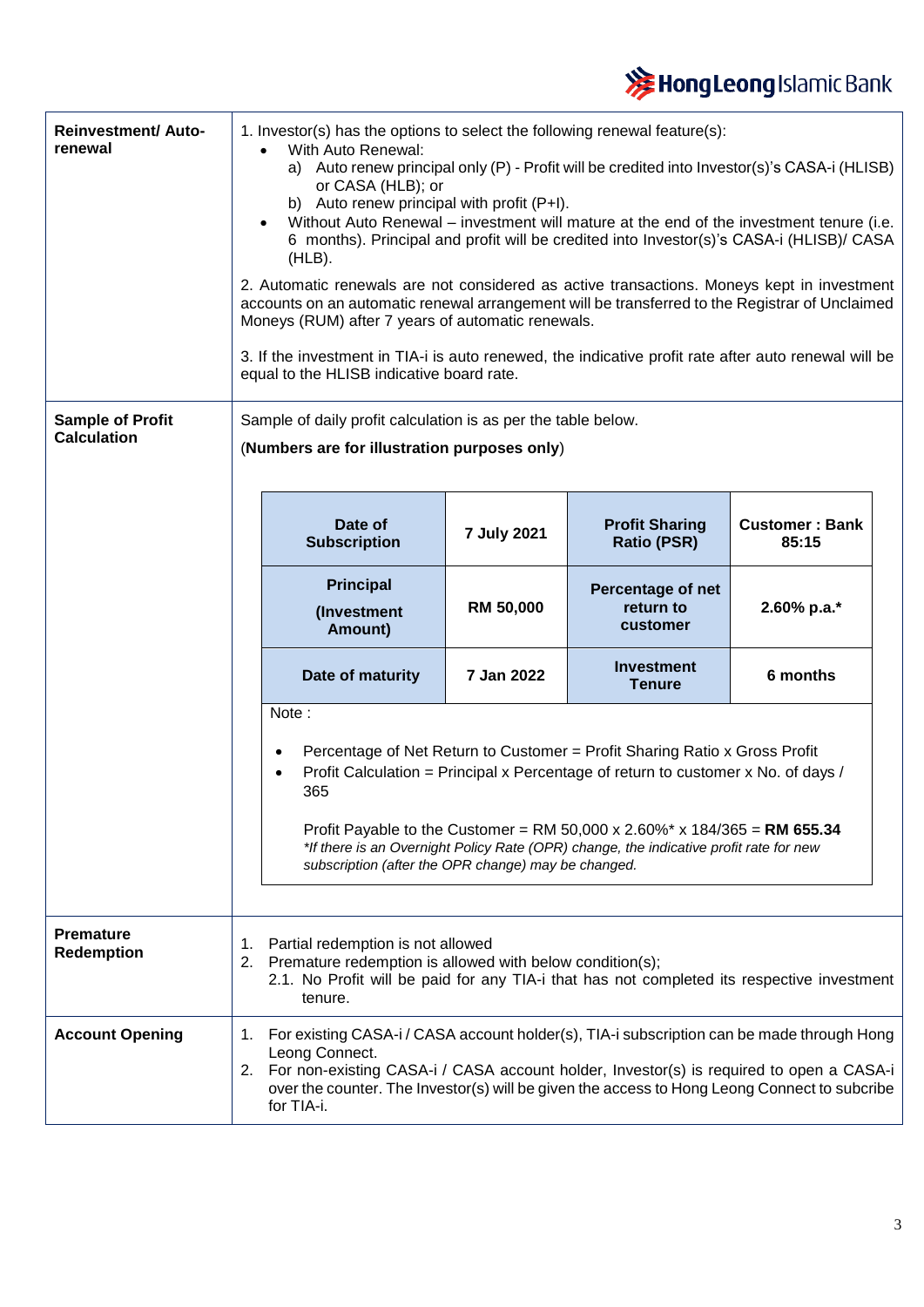

| <b>Reinvestment/ Auto-</b><br>renewal<br><b>Sample of Profit</b><br><b>Calculation</b> |          | 1. Investor(s) has the options to select the following renewal feature(s):<br>With Auto Renewal:<br>$\bullet$<br>a) Auto renew principal only (P) - Profit will be credited into Investor(s)'s CASA-i (HLISB)<br>or CASA (HLB); or<br>b) Auto renew principal with profit (P+I).<br>Without Auto Renewal – investment will mature at the end of the investment tenure (i.e.<br>6 months). Principal and profit will be credited into Investor(s)'s CASA-i (HLISB)/ CASA<br>$(HLB)$ .<br>2. Automatic renewals are not considered as active transactions. Moneys kept in investment<br>accounts on an automatic renewal arrangement will be transferred to the Registrar of Unclaimed<br>Moneys (RUM) after 7 years of automatic renewals.<br>3. If the investment in TIA-i is auto renewed, the indicative profit rate after auto renewal will be<br>equal to the HLISB indicative board rate.<br>Sample of daily profit calculation is as per the table below. |                  |                                             |                                |
|----------------------------------------------------------------------------------------|----------|-----------------------------------------------------------------------------------------------------------------------------------------------------------------------------------------------------------------------------------------------------------------------------------------------------------------------------------------------------------------------------------------------------------------------------------------------------------------------------------------------------------------------------------------------------------------------------------------------------------------------------------------------------------------------------------------------------------------------------------------------------------------------------------------------------------------------------------------------------------------------------------------------------------------------------------------------------------------|------------------|---------------------------------------------|--------------------------------|
|                                                                                        |          | (Numbers are for illustration purposes only)                                                                                                                                                                                                                                                                                                                                                                                                                                                                                                                                                                                                                                                                                                                                                                                                                                                                                                                    |                  |                                             |                                |
|                                                                                        |          | Date of<br><b>Subscription</b>                                                                                                                                                                                                                                                                                                                                                                                                                                                                                                                                                                                                                                                                                                                                                                                                                                                                                                                                  | 7 July 2021      | <b>Profit Sharing</b><br><b>Ratio (PSR)</b> | <b>Customer: Bank</b><br>85:15 |
|                                                                                        |          | <b>Principal</b><br>(Investment<br>Amount)                                                                                                                                                                                                                                                                                                                                                                                                                                                                                                                                                                                                                                                                                                                                                                                                                                                                                                                      | <b>RM 50,000</b> | Percentage of net<br>return to<br>customer  | 2.60% p.a.*                    |
|                                                                                        |          | Date of maturity                                                                                                                                                                                                                                                                                                                                                                                                                                                                                                                                                                                                                                                                                                                                                                                                                                                                                                                                                | 7 Jan 2022       | Investment<br><b>Tenure</b>                 | 6 months                       |
|                                                                                        |          | Note:<br>Percentage of Net Return to Customer = Profit Sharing Ratio x Gross Profit<br>$\bullet$<br>Profit Calculation = Principal x Percentage of return to customer x No. of days /<br>$\bullet$<br>365<br>Profit Payable to the Customer = RM 50,000 x 2.60%* x 184/365 = RM 655.34<br>*If there is an Overnight Policy Rate (OPR) change, the indicative profit rate for new<br>subscription (after the OPR change) may be changed.                                                                                                                                                                                                                                                                                                                                                                                                                                                                                                                         |                  |                                             |                                |
| <b>Premature</b><br><b>Redemption</b>                                                  | 1.<br>2. | Partial redemption is not allowed<br>Premature redemption is allowed with below condition(s);<br>2.1. No Profit will be paid for any TIA-i that has not completed its respective investment<br>tenure.                                                                                                                                                                                                                                                                                                                                                                                                                                                                                                                                                                                                                                                                                                                                                          |                  |                                             |                                |
| <b>Account Opening</b>                                                                 | 1.       | For existing CASA-i / CASA account holder(s), TIA-i subscription can be made through Hong<br>Leong Connect.<br>2. For non-existing CASA-i / CASA account holder, Investor(s) is required to open a CASA-i<br>over the counter. The Investor(s) will be given the access to Hong Leong Connect to subcribe<br>for TIA-i.                                                                                                                                                                                                                                                                                                                                                                                                                                                                                                                                                                                                                                         |                  |                                             |                                |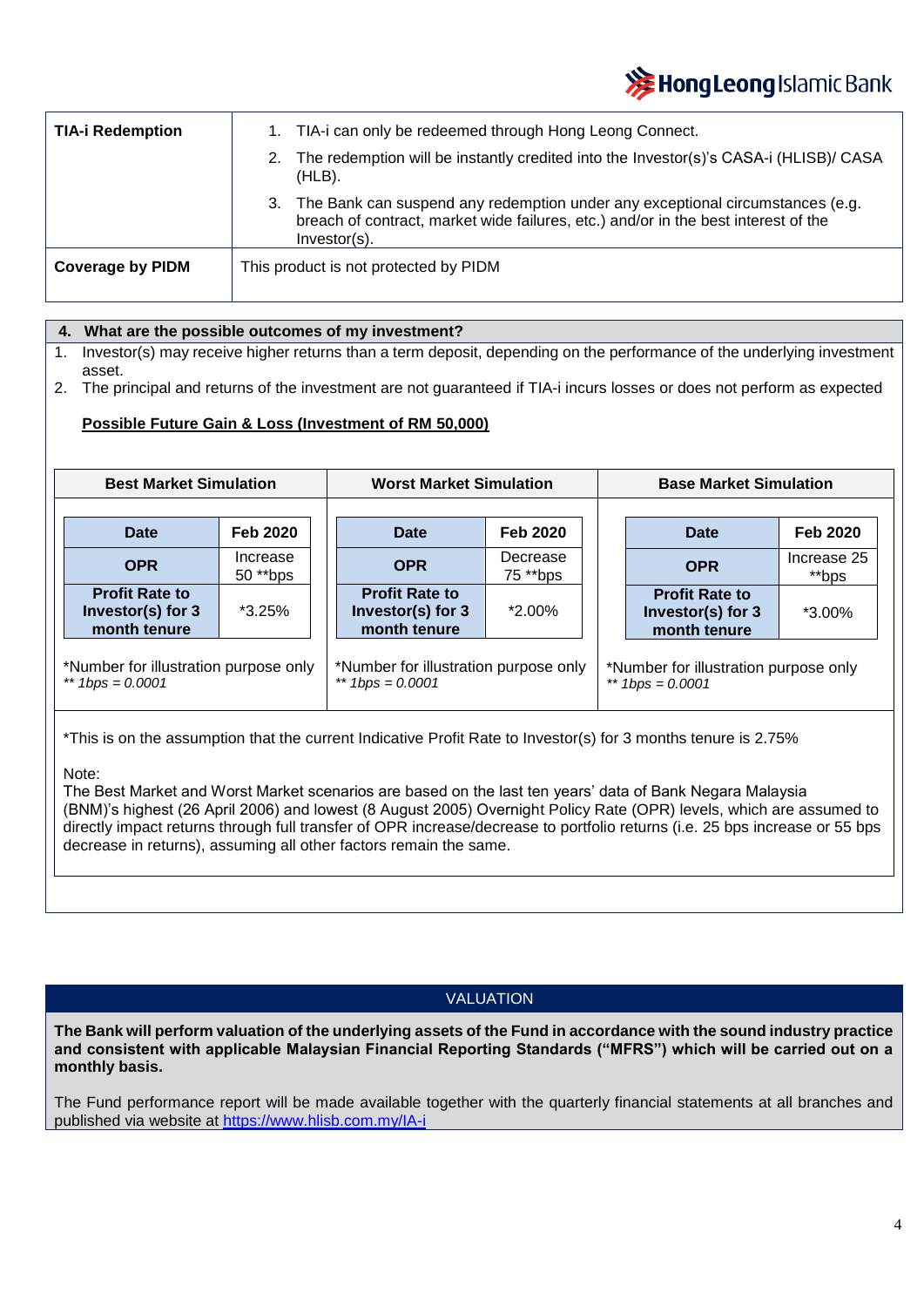# **X** Hong Leong Islamic Bank

| <b>TIA-i Redemption</b> | 1. TIA-i can only be redeemed through Hong Leong Connect.                                                                                                                                 |  |  |  |
|-------------------------|-------------------------------------------------------------------------------------------------------------------------------------------------------------------------------------------|--|--|--|
|                         | The redemption will be instantly credited into the Investor(s)'s CASA-i (HLISB)/ CASA<br>$(HLB)$ .                                                                                        |  |  |  |
|                         | 3. The Bank can suspend any redemption under any exceptional circumstances (e.g.<br>breach of contract, market wide failures, etc.) and/or in the best interest of the<br>$Investor(s)$ . |  |  |  |
| <b>Coverage by PIDM</b> | This product is not protected by PIDM                                                                                                                                                     |  |  |  |

## **1. 4. What are the possible outcomes of my investment?**

- 1. Investor(s) may receive higher returns than a term deposit, depending on the performance of the underlying investment asset.
- 2. The principal and returns of the investment are not guaranteed if TIA-i incurs losses or does not perform as expected

### **Possible Future Gain & Loss (Investment of RM 50,000)**

| <b>Best Market Simulation</b>                               |                       | <b>Worst Market Simulation</b>                              |                      |  | <b>Base Market Simulation</b>                               |                      |  |
|-------------------------------------------------------------|-----------------------|-------------------------------------------------------------|----------------------|--|-------------------------------------------------------------|----------------------|--|
| <b>Date</b>                                                 | <b>Feb 2020</b>       | Date                                                        | <b>Feb 2020</b>      |  | Date                                                        | <b>Feb 2020</b>      |  |
| <b>OPR</b>                                                  | Increase<br>50 ** bps | <b>OPR</b>                                                  | Decrease<br>75 **bps |  | <b>OPR</b>                                                  | Increase 25<br>**bps |  |
| <b>Profit Rate to</b><br>Investor(s) for 3<br>month tenure  | $*3.25\%$             | <b>Profit Rate to</b><br>Investor(s) for 3<br>month tenure  | $*2.00\%$            |  | <b>Profit Rate to</b><br>Investor(s) for 3<br>month tenure  | *3.00%               |  |
| *Number for illustration purpose only<br>** $1bps = 0.0001$ |                       | *Number for illustration purpose only<br>** $1bps = 0.0001$ |                      |  | *Number for illustration purpose only<br>** $1bps = 0.0001$ |                      |  |

\*This is on the assumption that the current Indicative Profit Rate to Investor(s) for 3 months tenure is 2.75%

### Note:

The Best Market and Worst Market scenarios are based on the last ten years' data of Bank Negara Malaysia (BNM)'s highest (26 April 2006) and lowest (8 August 2005) Overnight Policy Rate (OPR) levels, which are assumed to directly impact returns through full transfer of OPR increase/decrease to portfolio returns (i.e. 25 bps increase or 55 bps decrease in returns), assuming all other factors remain the same.

# VALUATION

**The Bank will perform valuation of the underlying assets of the Fund in accordance with the sound industry practice and consistent with applicable Malaysian Financial Reporting Standards ("MFRS") which will be carried out on a monthly basis.**

The Fund performance report will be made available together with the quarterly financial statements at all branches and published via website at<https://www.hlisb.com.my/IA-i>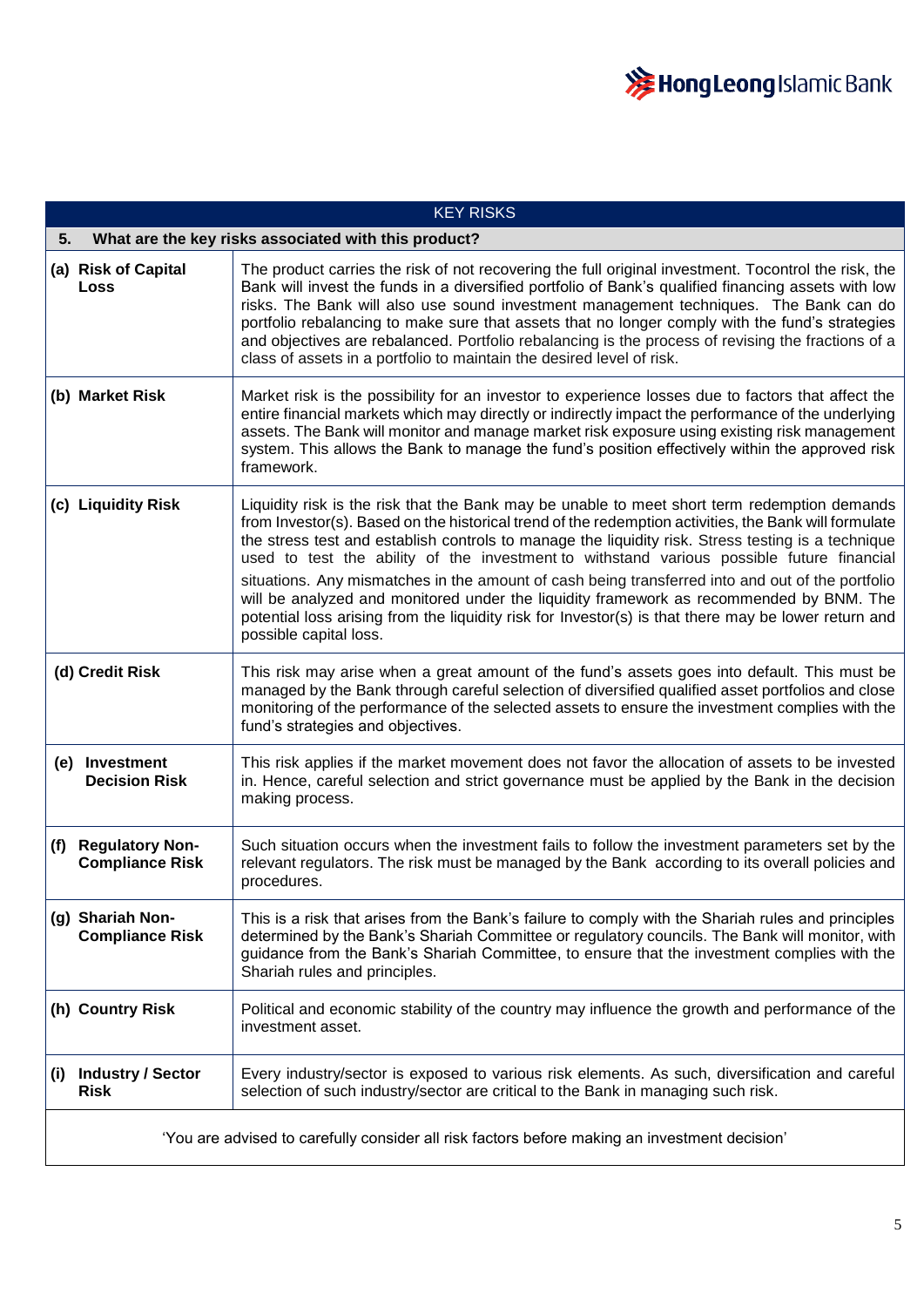

| <b>KEY RISKS</b>                                           |                                                                                                                                                                                                                                                                                                                                                                                                                                                                                                                                                                                                                                                                                                                                           |  |
|------------------------------------------------------------|-------------------------------------------------------------------------------------------------------------------------------------------------------------------------------------------------------------------------------------------------------------------------------------------------------------------------------------------------------------------------------------------------------------------------------------------------------------------------------------------------------------------------------------------------------------------------------------------------------------------------------------------------------------------------------------------------------------------------------------------|--|
| What are the key risks associated with this product?<br>5. |                                                                                                                                                                                                                                                                                                                                                                                                                                                                                                                                                                                                                                                                                                                                           |  |
| (a) Risk of Capital<br>Loss                                | The product carries the risk of not recovering the full original investment. Tocontrol the risk, the<br>Bank will invest the funds in a diversified portfolio of Bank's qualified financing assets with low<br>risks. The Bank will also use sound investment management techniques. The Bank can do<br>portfolio rebalancing to make sure that assets that no longer comply with the fund's strategies<br>and objectives are rebalanced. Portfolio rebalancing is the process of revising the fractions of a<br>class of assets in a portfolio to maintain the desired level of risk.                                                                                                                                                    |  |
| (b) Market Risk                                            | Market risk is the possibility for an investor to experience losses due to factors that affect the<br>entire financial markets which may directly or indirectly impact the performance of the underlying<br>assets. The Bank will monitor and manage market risk exposure using existing risk management<br>system. This allows the Bank to manage the fund's position effectively within the approved risk<br>framework.                                                                                                                                                                                                                                                                                                                 |  |
| (c) Liquidity Risk                                         | Liquidity risk is the risk that the Bank may be unable to meet short term redemption demands<br>from Investor(s). Based on the historical trend of the redemption activities, the Bank will formulate<br>the stress test and establish controls to manage the liquidity risk. Stress testing is a technique<br>used to test the ability of the investment to withstand various possible future financial<br>situations. Any mismatches in the amount of cash being transferred into and out of the portfolio<br>will be analyzed and monitored under the liquidity framework as recommended by BNM. The<br>potential loss arising from the liquidity risk for Investor(s) is that there may be lower return and<br>possible capital loss. |  |
| (d) Credit Risk                                            | This risk may arise when a great amount of the fund's assets goes into default. This must be<br>managed by the Bank through careful selection of diversified qualified asset portfolios and close<br>monitoring of the performance of the selected assets to ensure the investment complies with the<br>fund's strategies and objectives.                                                                                                                                                                                                                                                                                                                                                                                                 |  |
| (e) Investment<br><b>Decision Risk</b>                     | This risk applies if the market movement does not favor the allocation of assets to be invested<br>in. Hence, careful selection and strict governance must be applied by the Bank in the decision<br>making process.                                                                                                                                                                                                                                                                                                                                                                                                                                                                                                                      |  |
| <b>Regulatory Non-</b><br>(f)<br><b>Compliance Risk</b>    | Such situation occurs when the investment fails to follow the investment parameters set by the<br>relevant regulators. The risk must be managed by the Bank according to its overall policies and<br>procedures.                                                                                                                                                                                                                                                                                                                                                                                                                                                                                                                          |  |
| (g) Shariah Non-<br><b>Compliance Risk</b>                 | This is a risk that arises from the Bank's failure to comply with the Shariah rules and principles<br>determined by the Bank's Shariah Committee or regulatory councils. The Bank will monitor, with<br>guidance from the Bank's Shariah Committee, to ensure that the investment complies with the<br>Shariah rules and principles.                                                                                                                                                                                                                                                                                                                                                                                                      |  |
| (h) Country Risk                                           | Political and economic stability of the country may influence the growth and performance of the<br>investment asset.                                                                                                                                                                                                                                                                                                                                                                                                                                                                                                                                                                                                                      |  |
| <b>Industry / Sector</b><br>(i)<br><b>Risk</b>             | Every industry/sector is exposed to various risk elements. As such, diversification and careful<br>selection of such industry/sector are critical to the Bank in managing such risk.                                                                                                                                                                                                                                                                                                                                                                                                                                                                                                                                                      |  |
|                                                            | 'You are advised to carefully consider all risk factors before making an investment decision'                                                                                                                                                                                                                                                                                                                                                                                                                                                                                                                                                                                                                                             |  |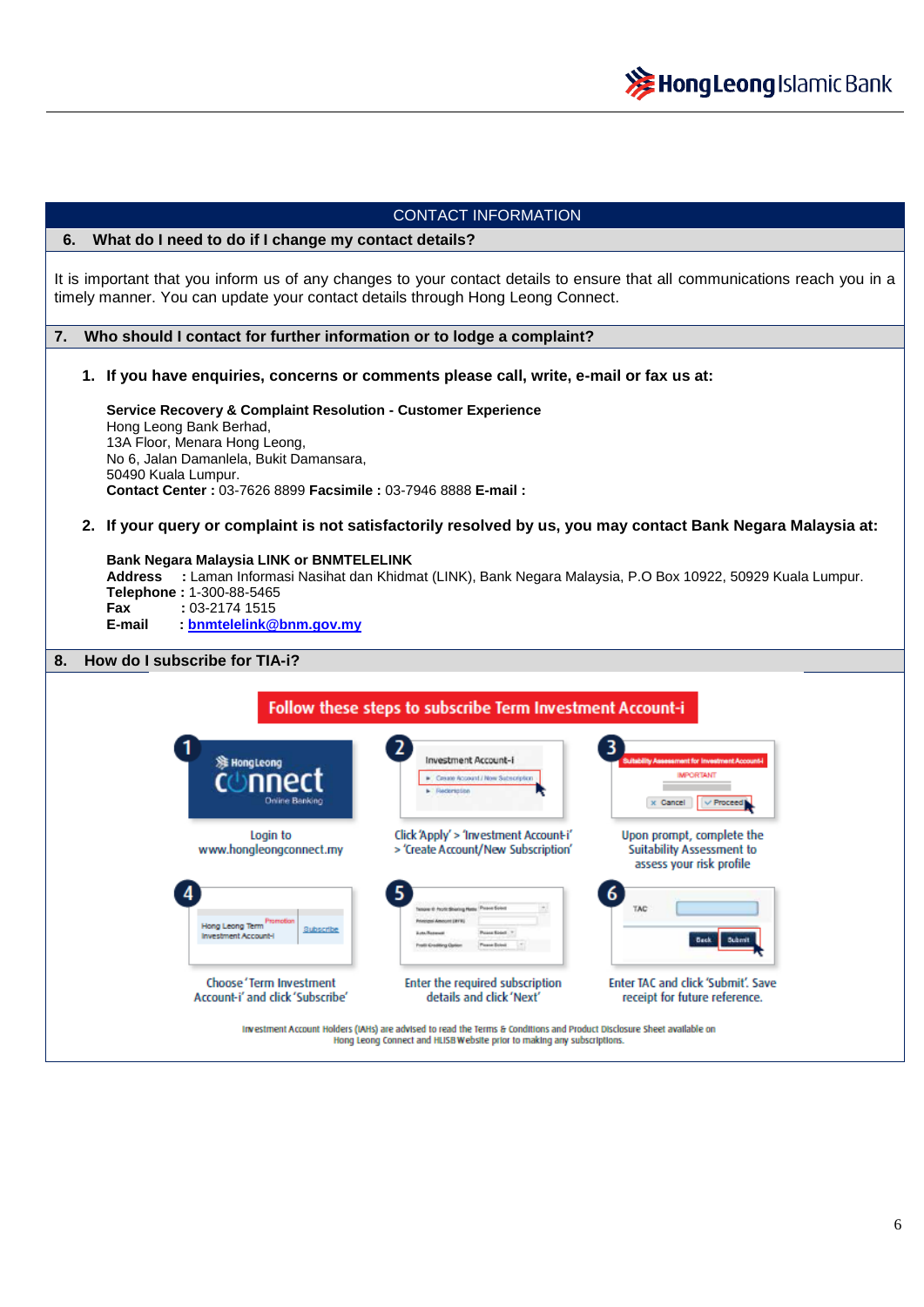